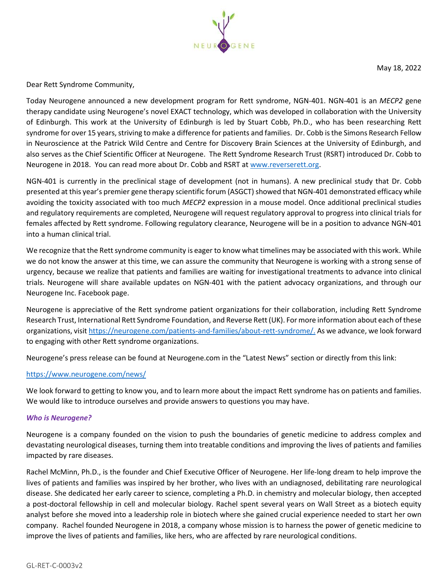

May 18, 2022

Dear Rett Syndrome Community,

Today Neurogene announced a new development program for Rett syndrome, NGN-401. NGN-401 is an *MECP2* gene therapy candidate using Neurogene's novel EXACT technology, which was developed in collaboration with the University of Edinburgh. This work at the University of Edinburgh is led by Stuart Cobb, Ph.D., who has been researching Rett syndrome for over 15 years, striving to make a difference for patients and families. Dr. Cobb is the Simons Research Fellow in Neuroscience at the Patrick Wild Centre and Centre for Discovery Brain Sciences at the University of Edinburgh, and also serves as the Chief Scientific Officer at Neurogene. The Rett Syndrome Research Trust (RSRT) introduced Dr. Cobb to Neurogene in 2018. You can read more about Dr. Cobb and RSRT at [www.reverserett.org.](https://reverserett.org/)

NGN-401 is currently in the preclinical stage of development (not in humans). A new preclinical study that Dr. Cobb presented at this year's premier gene therapy scientific forum (ASGCT) showed that NGN-401 demonstrated efficacy while avoiding the toxicity associated with too much *MECP2* expression in a mouse model. Once additional preclinical studies and regulatory requirements are completed, Neurogene will request regulatory approval to progress into clinical trials for females affected by Rett syndrome. Following regulatory clearance, Neurogene will be in a position to advance NGN-401 into a human clinical trial.

We recognize that the Rett syndrome community is eager to know what timelines may be associated with this work. While we do not know the answer at this time, we can assure the community that Neurogene is working with a strong sense of urgency, because we realize that patients and families are waiting for investigational treatments to advance into clinical trials. Neurogene will share available updates on NGN-401 with the patient advocacy organizations, and through our Neurogene Inc. Facebook page.

Neurogene is appreciative of the Rett syndrome patient organizations for their collaboration, including Rett Syndrome Research Trust, International Rett Syndrome Foundation, and Reverse Rett (UK). For more information about each of these organizations, visit [https://neurogene.com/patients-and-families/about-rett-syndrome/.](https://neurogene.com/patients-and-families/about-rett-syndrome/) As we advance, we look forward to engaging with other Rett syndrome organizations.

Neurogene's press release can be found at Neurogene.com in the "Latest News" section or directly from this link:

## <https://www.neurogene.com/news/>

We look forward to getting to know you, and to learn more about the impact Rett syndrome has on patients and families. We would like to introduce ourselves and provide answers to questions you may have.

## *Who is Neurogene?*

Neurogene is a company founded on the vision to push the boundaries of genetic medicine to address complex and devastating neurological diseases, turning them into treatable conditions and improving the lives of patients and families impacted by rare diseases.

Rachel McMinn, Ph.D., is the founder and Chief Executive Officer of Neurogene. Her life-long dream to help improve the lives of patients and families was inspired by her brother, who lives with an undiagnosed, debilitating rare neurological disease. She dedicated her early career to science, completing a Ph.D. in chemistry and molecular biology, then accepted a post-doctoral fellowship in cell and molecular biology. Rachel spent several years on Wall Street as a biotech equity analyst before she moved into a leadership role in biotech where she gained crucial experience needed to start her own company. Rachel founded Neurogene in 2018, a company whose mission is to harness the power of genetic medicine to improve the lives of patients and families, like hers, who are affected by rare neurological conditions.